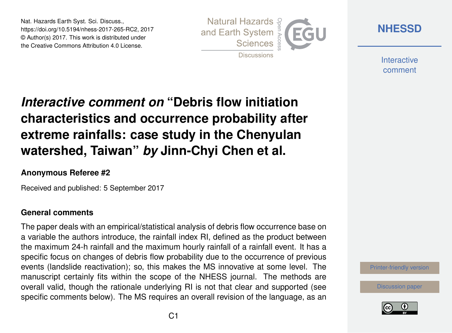Nat. Hazards Earth Syst. Sci. Discuss., https://doi.org/10.5194/nhess-2017-265-RC2, 2017 © Author(s) 2017. This work is distributed under the Creative Commons Attribution 4.0 License.



**[NHESSD](https://www.nat-hazards-earth-syst-sci-discuss.net/)**

**Interactive** comment

*Interactive comment on* **"Debris flow initiation characteristics and occurrence probability after extreme rainfalls: case study in the Chenyulan watershed, Taiwan"** *by* **Jinn-Chyi Chen et al.**

### **Anonymous Referee #2**

Received and published: 5 September 2017

#### **General comments**

The paper deals with an empirical/statistical analysis of debris flow occurrence base on a variable the authors introduce, the rainfall index RI, defined as the product between the maximum 24-h rainfall and the maximum hourly rainfall of a rainfall event. It has a specific focus on changes of debris flow probability due to the occurrence of previous events (landslide reactivation); so, this makes the MS innovative at some level. The manuscript certainly fits within the scope of the NHESS journal. The methods are overall valid, though the rationale underlying RI is not that clear and supported (see specific comments below). The MS requires an overall revision of the language, as an

[Printer-friendly version](https://www.nat-hazards-earth-syst-sci-discuss.net/nhess-2017-265/nhess-2017-265-RC2-print.pdf)

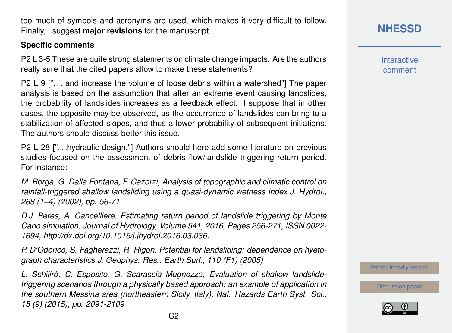too much of symbols and acronyms are used, which makes it very difficult to follow. Finally, I suggest **major revisions** for the manuscript.

### **Specific comments**

P2 L 3-5 These are quite strong statements on climate change impacts. Are the authors really sure that the cited papers allow to make these statements?

P2 L 9 [". . . and increase the volume of loose debris within a watershed"] The paper analysis is based on the assumption that after an extreme event causing landslides, the probability of landslides increases as a feedback effect. I suppose that in other cases, the opposite may be observed, as the occurrence of landslides can bring to a stabilization of affected slopes, and thus a lower probability of subsequent initiations. The authors should discuss better this issue.

P2 L 28 [". . .hydraulic design."] Authors should here add some literature on previous studies focused on the assessment of debris flow/landslide triggering return period. For instance:

*M. Borga, G. Dalla Fontana, F. Cazorzi, Analysis of topographic and climatic control on rainfall-triggered shallow landsliding using a quasi-dynamic wetness index J. Hydrol., 268 (1–4) (2002), pp. 56-71*

*D.J. Peres, A. Cancelliere, Estimating return period of landslide triggering by Monte Carlo simulation, Journal of Hydrology, Volume 541, 2016, Pages 256-271, ISSN 0022- 1694, http://dx.doi.org/10.1016/j.jhydrol.2016.03.036.*

*P. D'Odorico, S. Fagherazzi, R. Rigon, Potential for landsliding: dependence on hyetograph characteristics J. Geophys. Res.: Earth Surf., 110 (F1) (2005)*

*L. Schilirò, C. Esposito, G. Scarascia Mugnozza, Evaluation of shallow landslidetriggering scenarios through a physically based approach: an example of application in the southern Messina area (northeastern Sicily, Italy), Nat. Hazards Earth Syst. Sci., 15 (9) (2015), pp. 2091-2109*

**[NHESSD](https://www.nat-hazards-earth-syst-sci-discuss.net/)**

**Interactive** comment

[Printer-friendly version](https://www.nat-hazards-earth-syst-sci-discuss.net/nhess-2017-265/nhess-2017-265-RC2-print.pdf)

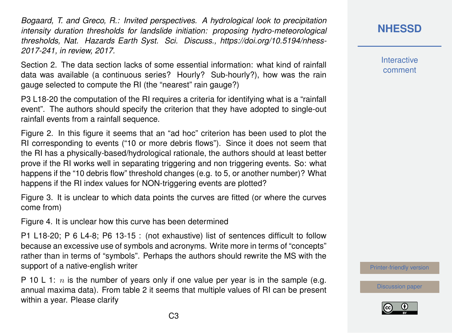*Bogaard, T. and Greco, R.: Invited perspectives. A hydrological look to precipitation intensity duration thresholds for landslide initiation: proposing hydro-meteorological thresholds, Nat. Hazards Earth Syst. Sci. Discuss., https://doi.org/10.5194/nhess-2017-241, in review, 2017.*

Section 2. The data section lacks of some essential information: what kind of rainfall data was available (a continuous series? Hourly? Sub-hourly?), how was the rain gauge selected to compute the RI (the "nearest" rain gauge?)

P3 L18-20 the computation of the RI requires a criteria for identifying what is a "rainfall event". The authors should specify the criterion that they have adopted to single-out rainfall events from a rainfall sequence.

Figure 2. In this figure it seems that an "ad hoc" criterion has been used to plot the RI corresponding to events ("10 or more debris flows"). Since it does not seem that the RI has a physically-based/hydrological rationale, the authors should at least better prove if the RI works well in separating triggering and non triggering events. So: what happens if the "10 debris flow" threshold changes (e.g. to 5, or another number)? What happens if the RI index values for NON-triggering events are plotted?

Figure 3. It is unclear to which data points the curves are fitted (or where the curves come from)

Figure 4. It is unclear how this curve has been determined

P1 L18-20; P 6 L4-8; P6 13-15 : (not exhaustive) list of sentences difficult to follow because an excessive use of symbols and acronyms. Write more in terms of "concepts" rather than in terms of "symbols". Perhaps the authors should rewrite the MS with the support of a native-english writer

P 10 L 1: n is the number of years only if one value per year is in the sample (e.g. annual maxima data). From table 2 it seems that multiple values of RI can be present within a year. Please clarify

**[NHESSD](https://www.nat-hazards-earth-syst-sci-discuss.net/)**

**Interactive** comment

[Printer-friendly version](https://www.nat-hazards-earth-syst-sci-discuss.net/nhess-2017-265/nhess-2017-265-RC2-print.pdf)